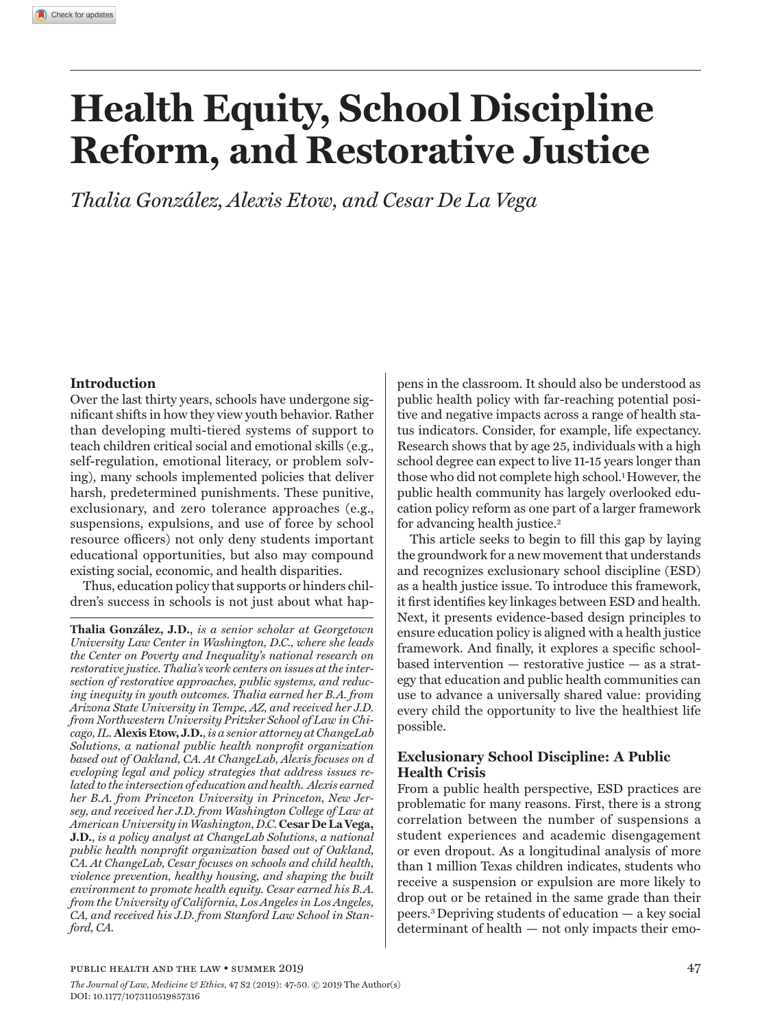# **Health Equity, School Discipline Reform, and Restorative Justice**

*Thalia González, Alexis Etow, and Cesar De La Vega*

### **Introduction**

Over the last thirty years, schools have undergone significant shifts in how they view youth behavior. Rather than developing multi-tiered systems of support to teach children critical social and emotional skills (e.g., self-regulation, emotional literacy, or problem solving), many schools implemented policies that deliver harsh, predetermined punishments. These punitive, exclusionary, and zero tolerance approaches (e.g., suspensions, expulsions, and use of force by school resource officers) not only deny students important educational opportunities, but also may compound existing social, economic, and health disparities.

Thus, education policy that supports or hinders children's success in schools is not just about what hap-

**Thalia González, J.D.**, *is a senior scholar at Georgetown University Law Center in Washington, D.C., where she leads the Center on Poverty and Inequality's national research on restorative justice. Thalia's work centers on issues at the intersection of restorative approaches, public systems, and reducing inequity in youth outcomes. Thalia earned her B.A. from Arizona State University in Tempe, AZ, and received her J.D. from Northwestern University Pritzker School of Law in Chicago, IL.* **Alexis Etow, J.D.**,*is a senior attorney at ChangeLab Solutions, a national public health nonprofit organization based out of Oakland, CA. At ChangeLab, Alexis focuses on d eveloping legal and policy strategies that address issues related to the intersection of education and health. Alexis earned her B.A. from Princeton University in Princeton, New Jersey, and received her J.D. from Washington College of Law at American University in Washington, D.C.* **Cesar De La Vega, J.D.**, *is a policy analyst at ChangeLab Solutions, a national public health nonprofit organization based out of Oakland, CA. At ChangeLab, Cesar focuses on schools and child health, violence prevention, healthy housing, and shaping the built environment to promote health equity. Cesar earned his B.A. from the University of California, Los Angeles in Los Angeles, CA, and received his J.D. from Stanford Law School in Stanford, CA.* 

pens in the classroom. It should also be understood as public health policy with far-reaching potential positive and negative impacts across a range of health status indicators. Consider, for example, life expectancy. Research shows that by age 25, individuals with a high school degree can expect to live 11-15 years longer than those who did not complete high school.1 However, the public health community has largely overlooked education policy reform as one part of a larger framework for advancing health justice.2

This article seeks to begin to fill this gap by laying the groundwork for a new movement that understands and recognizes exclusionary school discipline (ESD) as a health justice issue. To introduce this framework, it first identifies key linkages between ESD and health. Next, it presents evidence-based design principles to ensure education policy is aligned with a health justice framework. And finally, it explores a specific schoolbased intervention — restorative justice — as a strategy that education and public health communities can use to advance a universally shared value: providing every child the opportunity to live the healthiest life possible.

## **Exclusionary School Discipline: A Public Health Crisis**

From a public health perspective, ESD practices are problematic for many reasons. First, there is a strong correlation between the number of suspensions a student experiences and academic disengagement or even dropout. As a longitudinal analysis of more than 1 million Texas children indicates, students who receive a suspension or expulsion are more likely to drop out or be retained in the same grade than their peers.3 Depriving students of education — a key social determinant of health — not only impacts their emo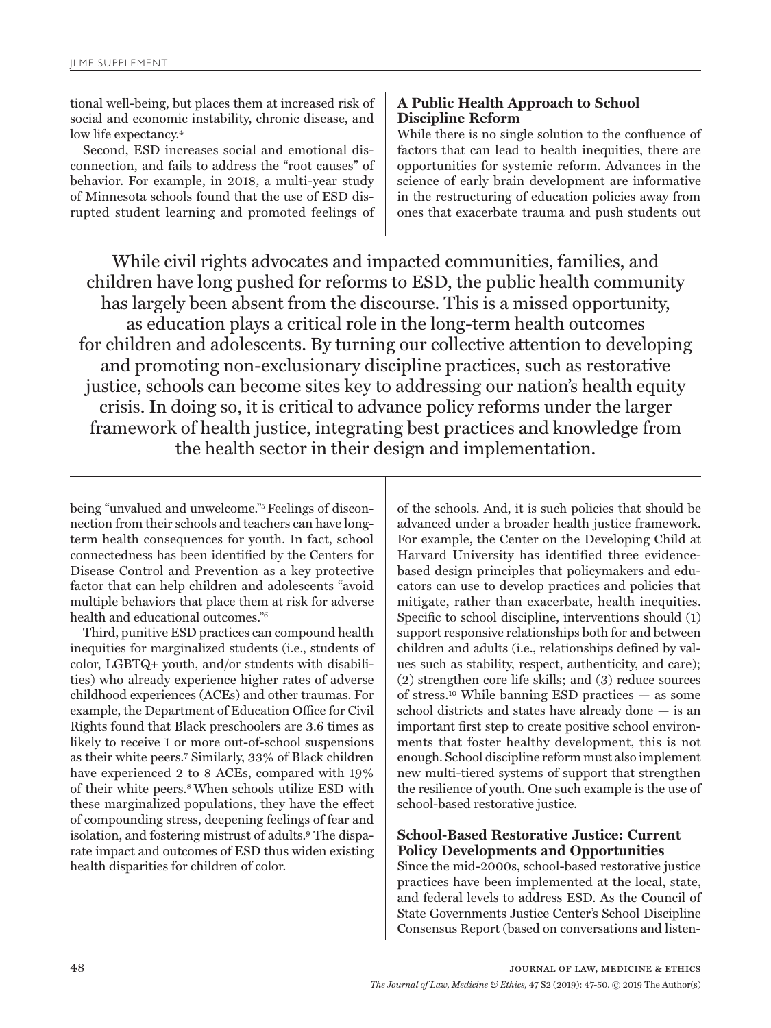tional well-being, but places them at increased risk of social and economic instability, chronic disease, and low life expectancy.<sup>4</sup>

Second, ESD increases social and emotional disconnection, and fails to address the "root causes" of behavior. For example, in 2018, a multi-year study of Minnesota schools found that the use of ESD disrupted student learning and promoted feelings of

# **A Public Health Approach to School Discipline Reform**

While there is no single solution to the confluence of factors that can lead to health inequities, there are opportunities for systemic reform. Advances in the science of early brain development are informative in the restructuring of education policies away from ones that exacerbate trauma and push students out

While civil rights advocates and impacted communities, families, and children have long pushed for reforms to ESD, the public health community has largely been absent from the discourse. This is a missed opportunity, as education plays a critical role in the long-term health outcomes for children and adolescents. By turning our collective attention to developing and promoting non-exclusionary discipline practices, such as restorative justice, schools can become sites key to addressing our nation's health equity crisis. In doing so, it is critical to advance policy reforms under the larger framework of health justice, integrating best practices and knowledge from the health sector in their design and implementation.

being "unvalued and unwelcome."5 Feelings of disconnection from their schools and teachers can have longterm health consequences for youth. In fact, school connectedness has been identified by the Centers for Disease Control and Prevention as a key protective factor that can help children and adolescents "avoid multiple behaviors that place them at risk for adverse health and educational outcomes."6

Third, punitive ESD practices can compound health inequities for marginalized students (i.e., students of color, LGBTQ+ youth, and/or students with disabilities) who already experience higher rates of adverse childhood experiences (ACEs) and other traumas. For example, the Department of Education Office for Civil Rights found that Black preschoolers are 3.6 times as likely to receive 1 or more out-of-school suspensions as their white peers.7 Similarly, 33% of Black children have experienced 2 to 8 ACEs, compared with 19% of their white peers.8 When schools utilize ESD with these marginalized populations, they have the effect of compounding stress, deepening feelings of fear and isolation, and fostering mistrust of adults.9 The disparate impact and outcomes of ESD thus widen existing health disparities for children of color.

of the schools. And, it is such policies that should be advanced under a broader health justice framework. For example, the Center on the Developing Child at Harvard University has identified three evidencebased design principles that policymakers and educators can use to develop practices and policies that mitigate, rather than exacerbate, health inequities. Specific to school discipline, interventions should (1) support responsive relationships both for and between children and adults (i.e., relationships defined by values such as stability, respect, authenticity, and care); (2) strengthen core life skills; and (3) reduce sources of stress.10 While banning ESD practices — as some school districts and states have already done — is an important first step to create positive school environments that foster healthy development, this is not enough. School discipline reform must also implement new multi-tiered systems of support that strengthen the resilience of youth. One such example is the use of school-based restorative justice.

# **School-Based Restorative Justice: Current Policy Developments and Opportunities**

Since the mid-2000s, school-based restorative justice practices have been implemented at the local, state, and federal levels to address ESD. As the Council of State Governments Justice Center's School Discipline Consensus Report (based on conversations and listen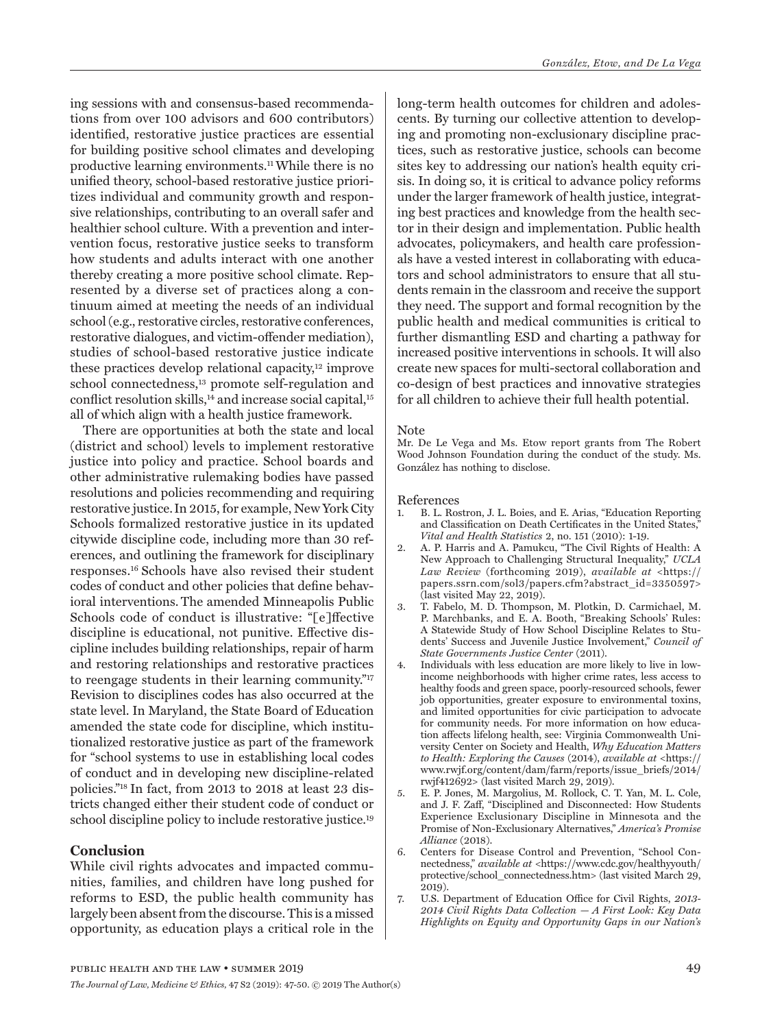ing sessions with and consensus-based recommendations from over 100 advisors and 600 contributors) identified, restorative justice practices are essential for building positive school climates and developing productive learning environments.11 While there is no unified theory, school-based restorative justice prioritizes individual and community growth and responsive relationships, contributing to an overall safer and healthier school culture. With a prevention and intervention focus, restorative justice seeks to transform how students and adults interact with one another thereby creating a more positive school climate. Represented by a diverse set of practices along a continuum aimed at meeting the needs of an individual school (e.g., restorative circles, restorative conferences, restorative dialogues, and victim-offender mediation), studies of school-based restorative justice indicate these practices develop relational capacity,12 improve school connectedness,<sup>13</sup> promote self-regulation and conflict resolution skills,<sup>14</sup> and increase social capital,<sup>15</sup> all of which align with a health justice framework.

There are opportunities at both the state and local (district and school) levels to implement restorative justice into policy and practice. School boards and other administrative rulemaking bodies have passed resolutions and policies recommending and requiring restorative justice. In 2015, for example, New York City Schools formalized restorative justice in its updated citywide discipline code, including more than 30 references, and outlining the framework for disciplinary responses.16 Schools have also revised their student codes of conduct and other policies that define behavioral interventions. The amended Minneapolis Public Schools code of conduct is illustrative: "[e]ffective discipline is educational, not punitive. Effective discipline includes building relationships, repair of harm and restoring relationships and restorative practices to reengage students in their learning community."17 Revision to disciplines codes has also occurred at the state level. In Maryland, the State Board of Education amended the state code for discipline, which institutionalized restorative justice as part of the framework for "school systems to use in establishing local codes of conduct and in developing new discipline-related policies."18 In fact, from 2013 to 2018 at least 23 districts changed either their student code of conduct or school discipline policy to include restorative justice.19

## **Conclusion**

While civil rights advocates and impacted communities, families, and children have long pushed for reforms to ESD, the public health community has largely been absent from the discourse. This is a missed opportunity, as education plays a critical role in the long-term health outcomes for children and adolescents. By turning our collective attention to developing and promoting non-exclusionary discipline practices, such as restorative justice, schools can become sites key to addressing our nation's health equity crisis. In doing so, it is critical to advance policy reforms under the larger framework of health justice, integrating best practices and knowledge from the health sector in their design and implementation. Public health advocates, policymakers, and health care professionals have a vested interest in collaborating with educators and school administrators to ensure that all students remain in the classroom and receive the support they need. The support and formal recognition by the public health and medical communities is critical to further dismantling ESD and charting a pathway for increased positive interventions in schools. It will also create new spaces for multi-sectoral collaboration and co-design of best practices and innovative strategies for all children to achieve their full health potential.

#### Note

Mr. De Le Vega and Ms. Etow report grants from The Robert Wood Johnson Foundation during the conduct of the study. Ms. González has nothing to disclose.

#### References

- 1. B. L. Rostron, J. L. Boies, and E. Arias, "Education Reporting and Classification on Death Certificates in the United States,' *Vital and Health Statistics* 2, no. 151 (2010): 1-19.
- 2. A. P. Harris and A. Pamukcu, "The Civil Rights of Health: A New Approach to Challenging Structural Inequality," *UCLA Law Review* (forthcoming 2019), *available at* <https:// papers.ssrn.com/sol3/papers.cfm?abstract\_id=3350597> (last visited May 22, 2019).
- 3. T. Fabelo, M. D. Thompson, M. Plotkin, D. Carmichael, M. P. Marchbanks, and E. A. Booth, "Breaking Schools' Rules: A Statewide Study of How School Discipline Relates to Students' Success and Juvenile Justice Involvement," *Council of State Governments Justice Center* (2011).
- 4. Individuals with less education are more likely to live in lowincome neighborhoods with higher crime rates, less access to healthy foods and green space, poorly-resourced schools, fewer job opportunities, greater exposure to environmental toxins, and limited opportunities for civic participation to advocate for community needs. For more information on how education affects lifelong health, see: Virginia Commonwealth University Center on Society and Health, *Why Education Matters to Health: Exploring the Causes* (2014), *available at* <https:// www.rwjf.org/content/dam/farm/reports/issue\_briefs/2014/ rwjf412692> (last visited March 29, 2019).
- 5. E. P. Jones, M. Margolius, M. Rollock, C. T. Yan, M. L. Cole, and J. F. Zaff, "Disciplined and Disconnected: How Students Experience Exclusionary Discipline in Minnesota and the Promise of Non-Exclusionary Alternatives," *America's Promise Alliance* (2018).
- 6. Centers for Disease Control and Prevention, "School Connectedness," *available at <*https://www.cdc.gov/healthyyouth/ protective/school\_connectedness.htm> (last visited March 29, 2019).
- 7. U.S. Department of Education Office for Civil Rights, *2013- 2014 Civil Rights Data Collection — A First Look: Key Data Highlights on Equity and Opportunity Gaps in our Nation's*